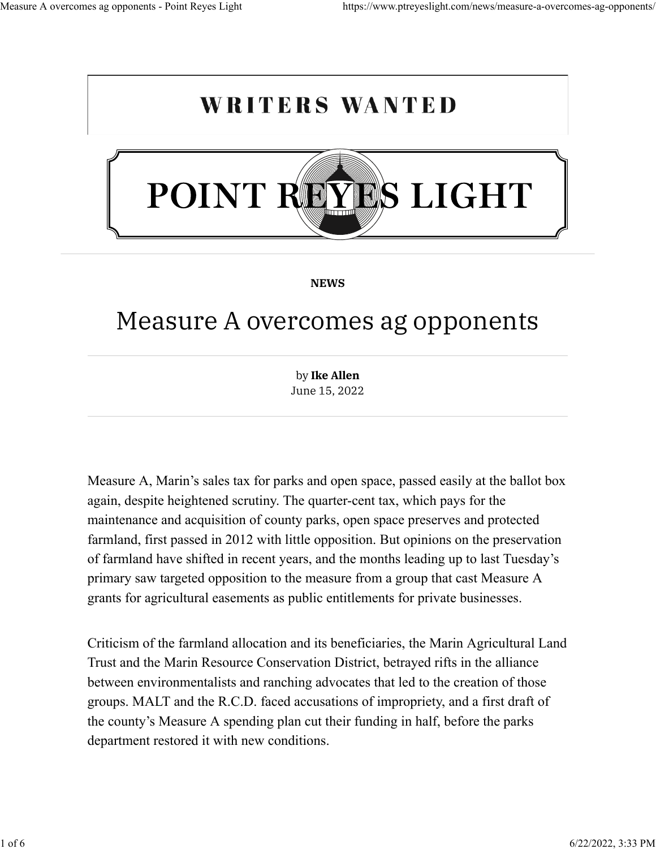## **WRITERS WANTED**



**[NEWS](https://www.ptreyeslight.com/category/news/)**

## Measure A overcomes ag opponents

by **[Ike Allen](https://www.ptreyeslight.com/author/ikeallen/)** June 15, 2022

Measure A, Marin's sales tax for parks and open space, passed easily at the ballot box again, despite heightened scrutiny. The quarter-cent tax, which pays for the maintenance and acquisition of county parks, open space preserves and protected farmland, first passed in 2012 with little opposition. But opinions on the preservation of farmland have shifted in recent years, and the months leading up to last Tuesday's primary saw targeted opposition to the measure from a group that cast Measure A grants for agricultural easements as public entitlements for private businesses.

Criticism of the farmland allocation and its beneficiaries, the Marin Agricultural Land Trust and the Marin Resource Conservation District, betrayed rifts in the alliance between environmentalists and ranching advocates that led to the creation of those groups. MALT and the R.C.D. faced accusations of impropriety, and a first draft of the county's Measure A spending plan cut their funding in half, before the parks department restored it with new conditions.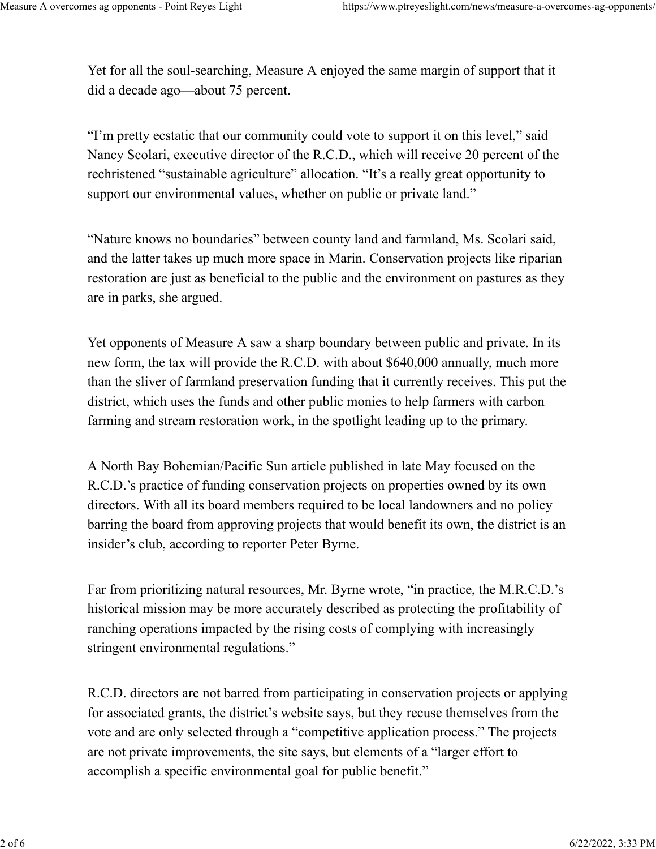Yet for all the soul-searching, Measure A enjoyed the same margin of support that it did a decade ago—about 75 percent.

"I'm pretty ecstatic that our community could vote to support it on this level," said Nancy Scolari, executive director of the R.C.D., which will receive 20 percent of the rechristened "sustainable agriculture" allocation. "It's a really great opportunity to support our environmental values, whether on public or private land."

"Nature knows no boundaries" between county land and farmland, Ms. Scolari said, and the latter takes up much more space in Marin. Conservation projects like riparian restoration are just as beneficial to the public and the environment on pastures as they are in parks, she argued.

Yet opponents of Measure A saw a sharp boundary between public and private. In its new form, the tax will provide the R.C.D. with about \$640,000 annually, much more than the sliver of farmland preservation funding that it currently receives. This put the district, which uses the funds and other public monies to help farmers with carbon farming and stream restoration work, in the spotlight leading up to the primary.

A North Bay Bohemian/Pacific Sun article published in late May focused on the R.C.D.'s practice of funding conservation projects on properties owned by its own directors. With all its board members required to be local landowners and no policy barring the board from approving projects that would benefit its own, the district is an insider's club, according to reporter Peter Byrne.

Far from prioritizing natural resources, Mr. Byrne wrote, "in practice, the M.R.C.D.'s historical mission may be more accurately described as protecting the profitability of ranching operations impacted by the rising costs of complying with increasingly stringent environmental regulations."

R.C.D. directors are not barred from participating in conservation projects or applying for associated grants, the district's website says, but they recuse themselves from the vote and are only selected through a "competitive application process." The projects are not private improvements, the site says, but elements of a "larger effort to accomplish a specific environmental goal for public benefit."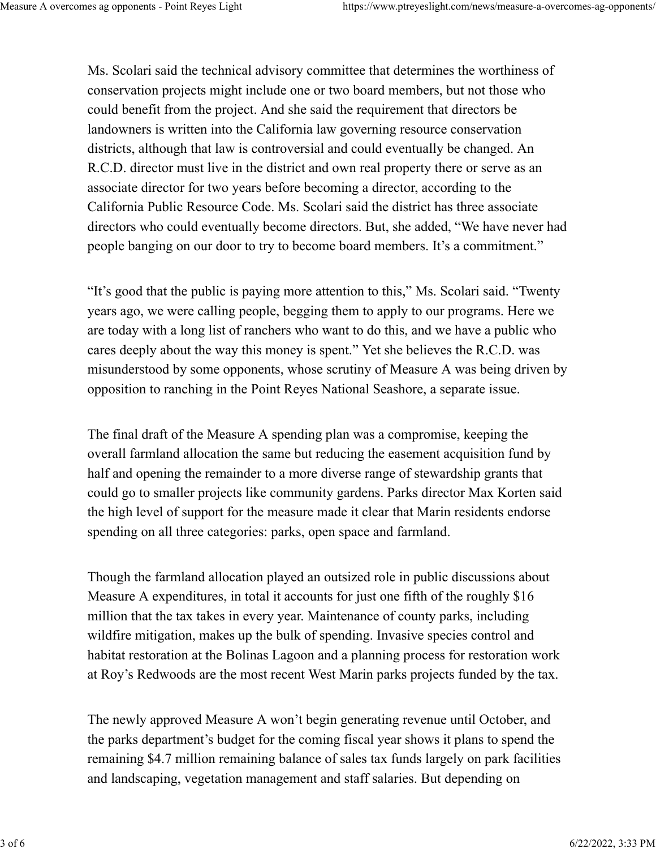Ms. Scolari said the technical advisory committee that determines the worthiness of conservation projects might include one or two board members, but not those who could benefit from the project. And she said the requirement that directors be landowners is written into the California law governing resource conservation districts, although that law is controversial and could eventually be changed. An R.C.D. director must live in the district and own real property there or serve as an associate director for two years before becoming a director, according to the California Public Resource Code. Ms. Scolari said the district has three associate directors who could eventually become directors. But, she added, "We have never had people banging on our door to try to become board members. It's a commitment."

"It's good that the public is paying more attention to this," Ms. Scolari said. "Twenty years ago, we were calling people, begging them to apply to our programs. Here we are today with a long list of ranchers who want to do this, and we have a public who cares deeply about the way this money is spent." Yet she believes the R.C.D. was misunderstood by some opponents, whose scrutiny of Measure A was being driven by opposition to ranching in the Point Reyes National Seashore, a separate issue.

The final draft of the Measure A spending plan was a compromise, keeping the overall farmland allocation the same but reducing the easement acquisition fund by half and opening the remainder to a more diverse range of stewardship grants that could go to smaller projects like community gardens. Parks director Max Korten said the high level of support for the measure made it clear that Marin residents endorse spending on all three categories: parks, open space and farmland.

Though the farmland allocation played an outsized role in public discussions about Measure A expenditures, in total it accounts for just one fifth of the roughly \$16 million that the tax takes in every year. Maintenance of county parks, including wildfire mitigation, makes up the bulk of spending. Invasive species control and habitat restoration at the Bolinas Lagoon and a planning process for restoration work at Roy's Redwoods are the most recent West Marin parks projects funded by the tax.

The newly approved Measure A won't begin generating revenue until October, and the parks department's budget for the coming fiscal year shows it plans to spend the remaining \$4.7 million remaining balance of sales tax funds largely on park facilities and landscaping, vegetation management and staff salaries. But depending on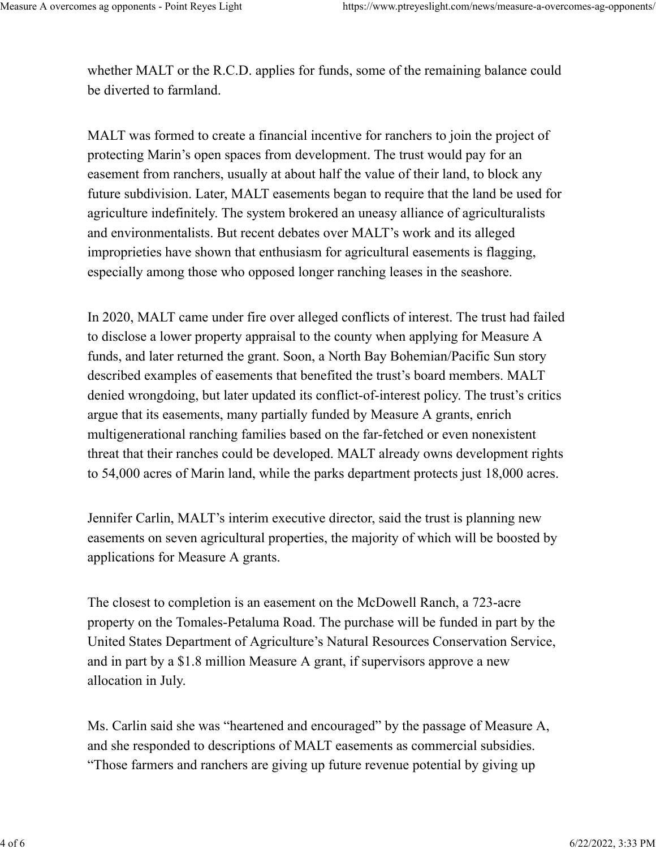whether MALT or the R.C.D. applies for funds, some of the remaining balance could be diverted to farmland.

MALT was formed to create a financial incentive for ranchers to join the project of protecting Marin's open spaces from development. The trust would pay for an easement from ranchers, usually at about half the value of their land, to block any future subdivision. Later, MALT easements began to require that the land be used for agriculture indefinitely. The system brokered an uneasy alliance of agriculturalists and environmentalists. But recent debates over MALT's work and its alleged improprieties have shown that enthusiasm for agricultural easements is flagging, especially among those who opposed longer ranching leases in the seashore.

In 2020, MALT came under fire over alleged conflicts of interest. The trust had failed to disclose a lower property appraisal to the county when applying for Measure A funds, and later returned the grant. Soon, a North Bay Bohemian/Pacific Sun story described examples of easements that benefited the trust's board members. MALT denied wrongdoing, but later updated its conflict-of-interest policy. The trust's critics argue that its easements, many partially funded by Measure A grants, enrich multigenerational ranching families based on the far-fetched or even nonexistent threat that their ranches could be developed. MALT already owns development rights to 54,000 acres of Marin land, while the parks department protects just 18,000 acres.

Jennifer Carlin, MALT's interim executive director, said the trust is planning new easements on seven agricultural properties, the majority of which will be boosted by applications for Measure A grants.

The closest to completion is an easement on the McDowell Ranch, a 723-acre property on the Tomales-Petaluma Road. The purchase will be funded in part by the United States Department of Agriculture's Natural Resources Conservation Service, and in part by a \$1.8 million Measure A grant, if supervisors approve a new allocation in July.

Ms. Carlin said she was "heartened and encouraged" by the passage of Measure A, and she responded to descriptions of MALT easements as commercial subsidies. "Those farmers and ranchers are giving up future revenue potential by giving up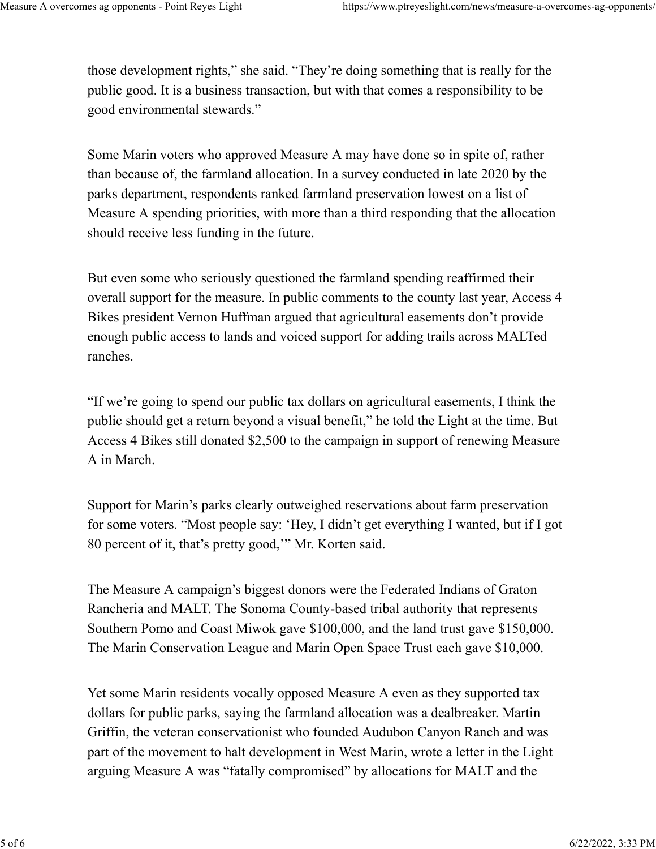those development rights," she said. "They're doing something that is really for the public good. It is a business transaction, but with that comes a responsibility to be good environmental stewards."

Some Marin voters who approved Measure A may have done so in spite of, rather than because of, the farmland allocation. In a survey conducted in late 2020 by the parks department, respondents ranked farmland preservation lowest on a list of Measure A spending priorities, with more than a third responding that the allocation should receive less funding in the future.

But even some who seriously questioned the farmland spending reaffirmed their overall support for the measure. In public comments to the county last year, Access 4 Bikes president Vernon Huffman argued that agricultural easements don't provide enough public access to lands and voiced support for adding trails across MALTed ranches.

"If we're going to spend our public tax dollars on agricultural easements, I think the public should get a return beyond a visual benefit," he told the Light at the time. But Access 4 Bikes still donated \$2,500 to the campaign in support of renewing Measure A in March.

Support for Marin's parks clearly outweighed reservations about farm preservation for some voters. "Most people say: 'Hey, I didn't get everything I wanted, but if I got 80 percent of it, that's pretty good,'" Mr. Korten said.

The Measure A campaign's biggest donors were the Federated Indians of Graton Rancheria and MALT. The Sonoma County-based tribal authority that represents Southern Pomo and Coast Miwok gave \$100,000, and the land trust gave \$150,000. The Marin Conservation League and Marin Open Space Trust each gave \$10,000.

Yet some Marin residents vocally opposed Measure A even as they supported tax dollars for public parks, saying the farmland allocation was a dealbreaker. Martin Griffin, the veteran conservationist who founded Audubon Canyon Ranch and was part of the movement to halt development in West Marin, wrote a letter in the Light arguing Measure A was "fatally compromised" by allocations for MALT and the